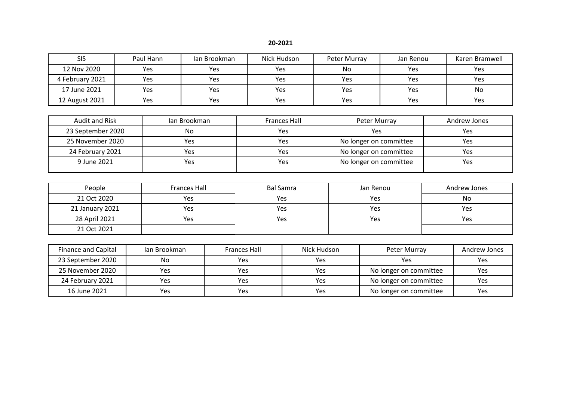| <b>SIS</b>      | Paul Hann | Ian Brookman | Nick Hudson | Peter Murray | Jan Renou | Karen Bramwell |
|-----------------|-----------|--------------|-------------|--------------|-----------|----------------|
| 12 Nov 2020     | Yes       | Yes          | Yes         | No           | Yes       | Yes            |
| 4 February 2021 | Yes       | Yes          | Yes         | Yes          | Yes       | Yes            |
| 17 June 2021    | Yes       | Yes          | Yes         | Yes          | Yes       | No             |
| 12 August 2021  | Yes       | Yes          | Yes         | Yes          | Yes       | Yes            |

| Audit and Risk    | Jan Brookman | <b>Frances Hall</b> | Peter Murray           | Andrew Jones |
|-------------------|--------------|---------------------|------------------------|--------------|
| 23 September 2020 | No           | Yes                 | Yes                    | Yes          |
| 25 November 2020  | Yes          | Yes                 | No longer on committee | Yes          |
| 24 February 2021  | Yes          | Yes                 | No longer on committee | Yes          |
| 9 June 2021       | Yes          | Yes                 | No longer on committee | Yes          |

| People          | <b>Frances Hall</b> | Bal Samra | Jan Renou | Andrew Jones |
|-----------------|---------------------|-----------|-----------|--------------|
| 21 Oct 2020     | Yes                 | Yes       | Yes       | No           |
| 21 January 2021 | Yes                 | Yes       | Yes       | Yes          |
| 28 April 2021   | Yes                 | Yes       | Yes       | Yes          |
| 21 Oct 2021     |                     |           |           |              |

| <b>Finance and Capital</b> | Ian Brookman | <b>Frances Hall</b> | Nick Hudson | Peter Murray           | Andrew Jones |
|----------------------------|--------------|---------------------|-------------|------------------------|--------------|
| 23 September 2020          | No           | Yes                 | <b>Yes</b>  | Yes                    | Yes          |
| 25 November 2020           | Yes          | Yes                 | Yes         | No longer on committee | Yes          |
| 24 February 2021           | Yes          | Yes                 | Yes         | No longer on committee | Yes          |
| 16 June 2021               | Yes          | <b>Yes</b>          | <b>Yes</b>  | No longer on committee | Yes          |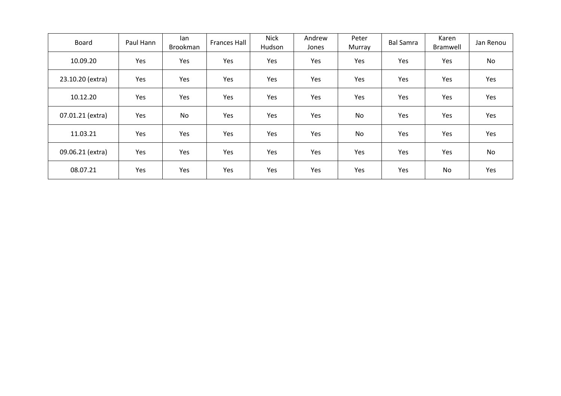| Board            | Paul Hann | lan<br>Brookman | <b>Frances Hall</b> | <b>Nick</b><br>Hudson | Andrew<br>Jones | Peter<br>Murray | <b>Bal Samra</b> | Karen<br>Bramwell | Jan Renou |
|------------------|-----------|-----------------|---------------------|-----------------------|-----------------|-----------------|------------------|-------------------|-----------|
| 10.09.20         | Yes       | Yes             | <b>Yes</b>          | Yes                   | Yes             | Yes             | Yes              | Yes               | No        |
| 23.10.20 (extra) | Yes       | Yes             | Yes                 | Yes                   | Yes             | Yes             | Yes              | Yes               | Yes       |
| 10.12.20         | Yes       | Yes             | Yes                 | Yes                   | Yes             | Yes             | Yes              | Yes               | Yes       |
| 07.01.21 (extra) | Yes       | No              | <b>Yes</b>          | Yes                   | Yes             | <b>No</b>       | Yes              | Yes               | Yes       |
| 11.03.21         | Yes       | Yes             | Yes                 | Yes                   | Yes             | No              | Yes              | Yes               | Yes       |
| 09.06.21 (extra) | Yes       | Yes             | Yes                 | Yes                   | Yes             | Yes             | Yes              | Yes               | No        |
| 08.07.21         | Yes       | Yes             | Yes                 | Yes                   | Yes             | Yes             | Yes              | No                | Yes       |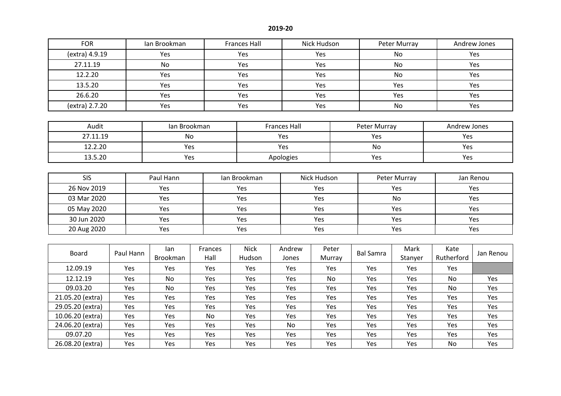| <b>FOR</b>       |  |           | Ian Brookman              |                 | <b>Frances Hall</b>   |                     | Nick Hudson     |  |                  | Peter Murray    |                    | Andrew Jones |  |
|------------------|--|-----------|---------------------------|-----------------|-----------------------|---------------------|-----------------|--|------------------|-----------------|--------------------|--------------|--|
| (extra) 4.9.19   |  |           | Yes                       |                 | Yes                   |                     | Yes             |  |                  | <b>No</b>       |                    | Yes          |  |
| 27.11.19         |  |           | <b>No</b>                 |                 | Yes                   |                     | Yes             |  |                  | <b>No</b>       |                    | Yes          |  |
| 12.2.20          |  |           | Yes                       |                 | Yes                   |                     | Yes             |  |                  | No              |                    | Yes          |  |
| 13.5.20          |  |           | Yes                       |                 | Yes                   |                     | Yes             |  |                  | Yes             |                    | Yes          |  |
| 26.6.20          |  |           | Yes                       |                 | Yes                   |                     | Yes             |  |                  | Yes             |                    | Yes          |  |
| (extra) 2.7.20   |  |           | Yes                       |                 | Yes                   |                     | Yes             |  |                  | No              |                    | Yes          |  |
|                  |  |           |                           |                 |                       |                     |                 |  |                  |                 |                    |              |  |
| Audit            |  |           | Ian Brookman              |                 |                       | <b>Frances Hall</b> |                 |  | Peter Murray     |                 | Andrew Jones       |              |  |
| 27.11.19         |  |           | No                        |                 |                       | Yes                 |                 |  | Yes              |                 | Yes                |              |  |
| 12.2.20          |  |           | Yes                       |                 |                       | Yes                 |                 |  | No               |                 | Yes                |              |  |
| 13.5.20          |  |           | Yes                       |                 | Apologies             |                     |                 |  | Yes              |                 |                    | Yes          |  |
|                  |  |           |                           |                 |                       |                     |                 |  |                  |                 |                    |              |  |
| <b>SIS</b>       |  |           | Paul Hann<br>Ian Brookman |                 |                       |                     | Nick Hudson     |  |                  | Peter Murray    |                    | Jan Renou    |  |
| 26 Nov 2019      |  |           | Yes                       |                 | Yes                   |                     | Yes             |  |                  | Yes             |                    | Yes          |  |
| 03 Mar 2020      |  |           | Yes                       |                 | Yes                   |                     | Yes             |  |                  | <b>No</b>       |                    | Yes          |  |
| 05 May 2020      |  |           | Yes                       |                 | Yes                   |                     | Yes             |  | Yes              |                 |                    | Yes          |  |
| 30 Jun 2020      |  |           | Yes                       |                 | Yes                   |                     | Yes             |  |                  | Yes             |                    | Yes          |  |
| 20 Aug 2020      |  |           | Yes                       |                 | Yes                   |                     | Yes             |  |                  | Yes             |                    | Yes          |  |
|                  |  |           |                           |                 |                       |                     |                 |  |                  |                 |                    |              |  |
| <b>Board</b>     |  | Paul Hann | lan<br><b>Brookman</b>    | Frances<br>Hall | <b>Nick</b><br>Hudson | Andrew<br>Jones     | Peter<br>Murray |  | <b>Bal Samra</b> | Mark<br>Stanyer | Kate<br>Rutherford | Jan Renou    |  |
| 12.09.19         |  | Yes       | Yes                       | Yes             | Yes                   | Yes                 | Yes             |  | Yes              | Yes             | Yes                |              |  |
| 12.12.19         |  | Yes       | No                        | Yes             | Yes                   | Yes                 | No              |  | Yes              | Yes             | No                 | Yes          |  |
| 09.03.20         |  | Yes       | No                        | Yes             | Yes                   | Yes                 | Yes             |  | Yes              | Yes             | No                 | Yes          |  |
| 21.05.20 (extra) |  | Yes       | Yes                       | Yes             | Yes                   |                     | Yes             |  | Yes              | Yes             | Yes                | Yes          |  |
| 29.05.20 (extra) |  | Yes       | Yes                       | Yes             | Yes                   | Yes                 | Yes             |  | Yes              | Yes             | Yes                | Yes          |  |
| 10.06.20 (extra) |  | Yes       | Yes                       | No              | Yes                   | Yes                 | Yes             |  | Yes              | Yes             | Yes                | Yes          |  |
| 24.06.20 (extra) |  | Yes       | Yes                       | Yes             | Yes                   | No                  | Yes             |  | Yes              | Yes             | Yes                | Yes          |  |

09.07.20 | Yes | Yes | Yes | Yes | Yes | Yes | Yes | Yes | Yes | Yes 26.08.20 (extra) | Yes | Yes | Yes | Yes | Yes | Yes | Yes | Yes | No | Yes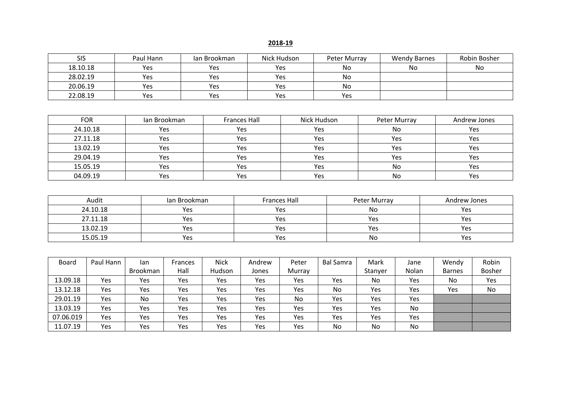| <b>SIS</b> | Paul Hann | lan Brookman | Nick Hudson | Peter Murray | <b>Wendy Barnes</b> | Robin Bosher |
|------------|-----------|--------------|-------------|--------------|---------------------|--------------|
| 18.10.18   | Yes       | Yes          | Yes         | No           | No                  | No           |
| 28.02.19   | Yes       | Yes          | Yes         | No           |                     |              |
| 20.06.19   | Yes       | Yes          | Yes         | No           |                     |              |
| 22.08.19   | Yes       | Yes          | Yes         | Yes          |                     |              |

| <b>FOR</b> | Jan Brookman | <b>Frances Hall</b> | Nick Hudson | Peter Murray | Andrew Jones |
|------------|--------------|---------------------|-------------|--------------|--------------|
| 24.10.18   | Yes          | Yes                 | Yes         | No           | Yes          |
| 27.11.18   | Yes          | Yes                 | Yes         | Yes          | Yes          |
| 13.02.19   | Yes          | Yes                 | Yes         | Yes          | Yes          |
| 29.04.19   | Yes          | Yes                 | Yes         | Yes          | Yes          |
| 15.05.19   | Yes          | Yes                 | Yes         | No           | Yes          |
| 04.09.19   | Yes          | Yes                 | Yes         | No           | Yes          |

| Audit    | lan Brookman | <b>Frances Hall</b> | Peter Murray | Andrew Jones |
|----------|--------------|---------------------|--------------|--------------|
| 24.10.18 | Yes          | Yes                 | No           | <b>Yes</b>   |
| 27.11.18 | Yes          | Yes                 | Yes          | Yes          |
| 13.02.19 | Yes          | Yes                 | Yes          | <b>Yes</b>   |
| 15.05.19 | Yes          | Yes                 | No           | Yes          |

| <b>Board</b> | Paul Hann | lan             | Frances | <b>Nick</b> | Andrew | Peter  | <b>Bal Samra</b> | Mark    | Jane  | Wendy         | Robin         |
|--------------|-----------|-----------------|---------|-------------|--------|--------|------------------|---------|-------|---------------|---------------|
|              |           | <b>Brookman</b> | Hall    | Hudson      | Jones  | Murray |                  | Stanyer | Nolan | <b>Barnes</b> | <b>Bosher</b> |
| 13.09.18     | Yes       | Yes             | Yes     | Yes         | Yes    | Yes    | Yes              | No      | Yes   | No            | Yes           |
| 13.12.18     | Yes       | Yes             | Yes     | Yes         | Yes    | Yes    | No               | Yes     | Yes   | Yes           | No            |
| 29.01.19     | Yes       | No              | Yes     | Yes         | Yes    | No     | Yes              | Yes     | Yes   |               |               |
| 13.03.19     | Yes       | Yes             | Yes     | Yes         | Yes    | Yes    | Yes              | Yes     | No    |               |               |
| 07.06.019    | Yes       | Yes             | Yes     | Yes         | Yes    | Yes    | Yes              | Yes     | Yes   |               |               |
| 11.07.19     | Yes       | Yes             | Yes     | Yes         | Yes    | Yes    | No               | No      | No    |               |               |